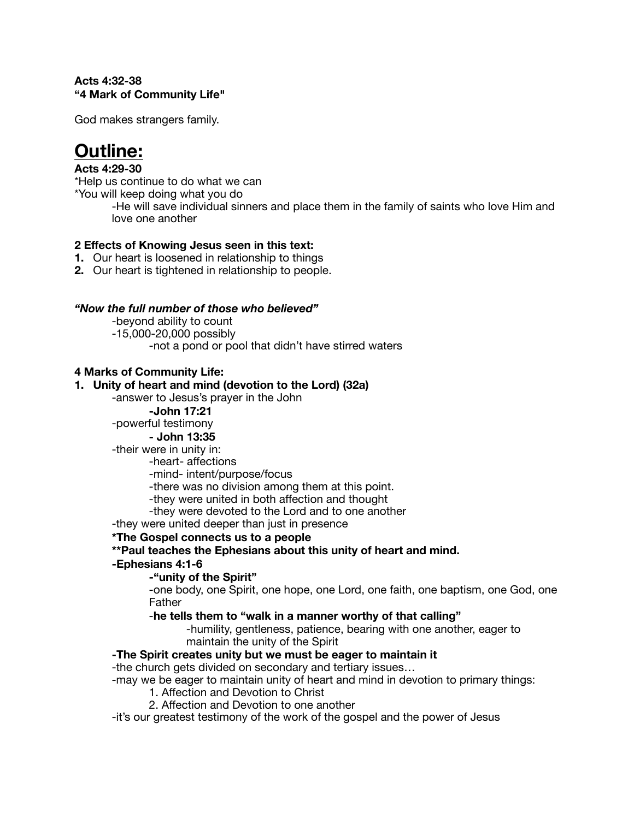#### **Acts 4:32-38 "4 Mark of Community Life"**

God makes strangers family.

# **Outline:**

### **Acts 4:29-30**

\*Help us continue to do what we can

\*You will keep doing what you do

-He will save individual sinners and place them in the family of saints who love Him and love one another

### **2 Effects of Knowing Jesus seen in this text:**

- **1.** Our heart is loosened in relationship to things
- **2.** Our heart is tightened in relationship to people.

#### *"Now the full number of those who believed"*

- -beyond ability to count
- -15,000-20,000 possibly
	- -not a pond or pool that didn't have stirred waters

#### **4 Marks of Community Life:**

#### **1. Unity of heart and mind (devotion to the Lord) (32a)**

-answer to Jesus's prayer in the John

 **-John 17:21**

# -powerful testimony

 **- John 13:35**

-their were in unity in:

 -heart- affections

 -mind- intent/purpose/focus

 -there was no division among them at this point.

 -they were united in both affection and thought

 -they were devoted to the Lord and to one another

-they were united deeper than just in presence

#### **\*The Gospel connects us to a people**

**\*\*Paul teaches the Ephesians about this unity of heart and mind.** 

#### **-Ephesians 4:1-6**

#### **-"unity of the Spirit"**

 -one body, one Spirit, one hope, one Lord, one faith, one baptism, one God, one Father

#### -**he tells them to "walk in a manner worthy of that calling"**

-humility, gentleness, patience, bearing with one another, eager to maintain the unity of the Spirit

#### **-The Spirit creates unity but we must be eager to maintain it**

-the church gets divided on secondary and tertiary issues…

- -may we be eager to maintain unity of heart and mind in devotion to primary things:
	- 1. Affection and Devotion to Christ
	- 2. Affection and Devotion to one another

-it's our greatest testimony of the work of the gospel and the power of Jesus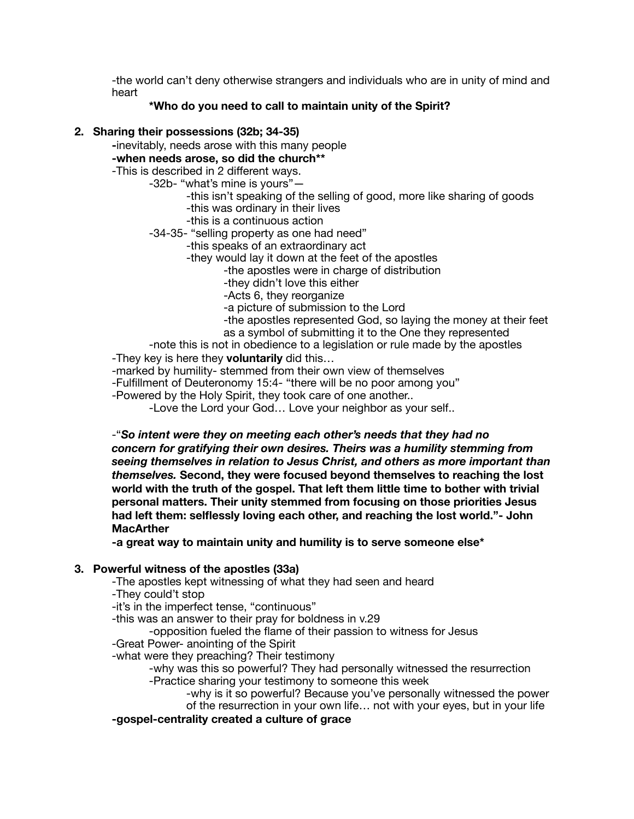-the world can't deny otherwise strangers and individuals who are in unity of mind and heart

### **\*Who do you need to call to maintain unity of the Spirit?**

#### **2. Sharing their possessions (32b; 34-35)**

**-**inevitably, needs arose with this many people

### **-when needs arose, so did the church\*\***

# -This is described in 2 different ways.

- -32b- "what's mine is yours"—
	- -this isn't speaking of the selling of good, more like sharing of goods
	- -this was ordinary in their lives
	- -this is a continuous action
- -34-35- "selling property as one had need"
	- -this speaks of an extraordinary act
	- -they would lay it down at the feet of the apostles
		- -the apostles were in charge of distribution
		- -they didn't love this either
		- -Acts 6, they reorganize
		- -a picture of submission to the Lord
		- -the apostles represented God, so laying the money at their feet
		- as a symbol of submitting it to the One they represented
- -note this is not in obedience to a legislation or rule made by the apostles
- -They key is here they **voluntarily** did this…
- -marked by humility- stemmed from their own view of themselves
- -Fulfillment of Deuteronomy 15:4- "there will be no poor among you"
- -Powered by the Holy Spirit, they took care of one another..
	- -Love the Lord your God… Love your neighbor as your self..

-"*So intent were they on meeting each other's needs that they had no concern for gratifying their own desires. Theirs was a humility stemming from seeing themselves in relation to Jesus Christ, and others as more important than themselves.* **Second, they were focused beyond themselves to reaching the lost world with the truth of the gospel. That left them little time to bother with trivial personal matters. Their unity stemmed from focusing on those priorities Jesus had left them: selflessly loving each other, and reaching the lost world."- John MacArther** 

**-a great way to maintain unity and humility is to serve someone else\*** 

# **3. Powerful witness of the apostles (33a)**

- -The apostles kept witnessing of what they had seen and heard
- -They could't stop
- -it's in the imperfect tense, "continuous"
- -this was an answer to their pray for boldness in v.29
- -opposition fueled the flame of their passion to witness for Jesus
- -Great Power- anointing of the Spirit
- -what were they preaching? Their testimony
	- -why was this so powerful? They had personally witnessed the resurrection -Practice sharing your testimony to someone this week
		- -why is it so powerful? Because you've personally witnessed the power of the resurrection in your own life… not with your eyes, but in your life

# **-gospel-centrality created a culture of grace**